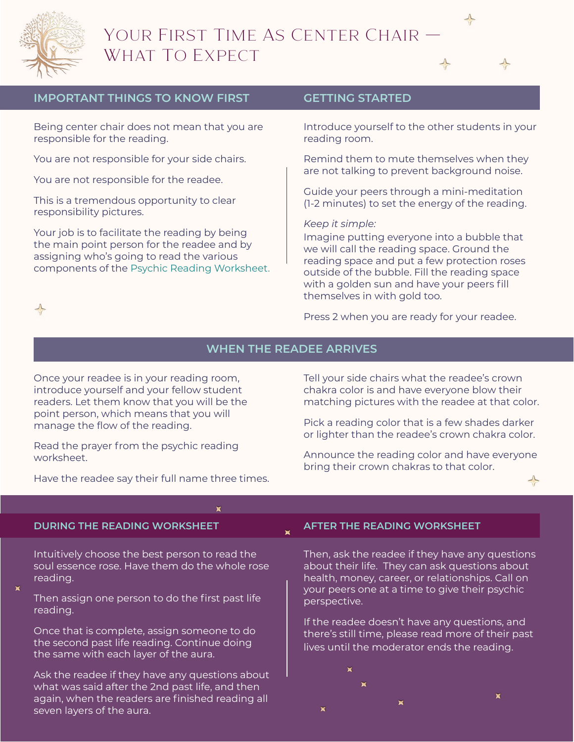

 $\Rightarrow$ 



## **IMPORTANT THINGS TO KNOW FIRST**

Being center chair does not mean that you are responsible for the reading.

You are not responsible for your side chairs.

You are not responsible for the readee.

This is a tremendous opportunity to clear responsibility pictures.

Your job is to facilitate the reading by being the main point person for the readee and by assigning who's going to read the various components of the [Psychic Reading Worksheet.](http://boulderpsychicinstitute.org/PsychicReadingWorksheetStudentNotes.pdf)

### **GETTING STARTED**

Introduce yourself to the other students in your reading room.

Remind them to mute themselves when they are not talking to prevent background noise.

Guide your peers through a mini-meditation (1-2 minutes) to set the energy of the reading.

#### *Keep it simple:*

Imagine putting everyone into a bubble that we will call the reading space. Ground the reading space and put a few protection roses outside of the bubble. Fill the reading space with a golden sun and have your peers fill themselves in with gold too.

Press 2 when you are ready for your readee.

## **WHEN THE READEE ARRIVES**

 $\mathbf{x}$ 

Once your readee is in your reading room, introduce yourself and your fellow student readers. Let them know that you will be the point person, which means that you will manage the flow of the reading.

Read the prayer from the psychic reading worksheet.

Have the readee say their full name three times.

Tell your side chairs what the readee's crown chakra color is and have everyone blow their matching pictures with the readee at that color.

Pick a reading color that is a few shades darker or lighter than the readee's crown chakra color.

Announce the reading color and have everyone bring their crown chakras to that color.

#### **DURING THE READING WORKSHEET**

Intuitively choose the best person to read the soul essence rose. Have them do the whole rose reading.

- 
- Then assign one person to do the first past life reading.
- Once that is complete, assign someone to do the second past life reading. Continue doing the same with each layer of the aura.

Ask the readee if they have any questions about what was said after the 2nd past life, and then again, when the readers are finished reading all seven layers of the aura.

#### **AFTER THE READING WORKSHEET**

Then, ask the readee if they have any questions about their life. They can ask questions about health, money, career, or relationships. Call on your peers one at a time to give their psychic perspective.

If the readee doesn't have any questions, and there's still time, please read more of their past lives until the moderator ends the reading.